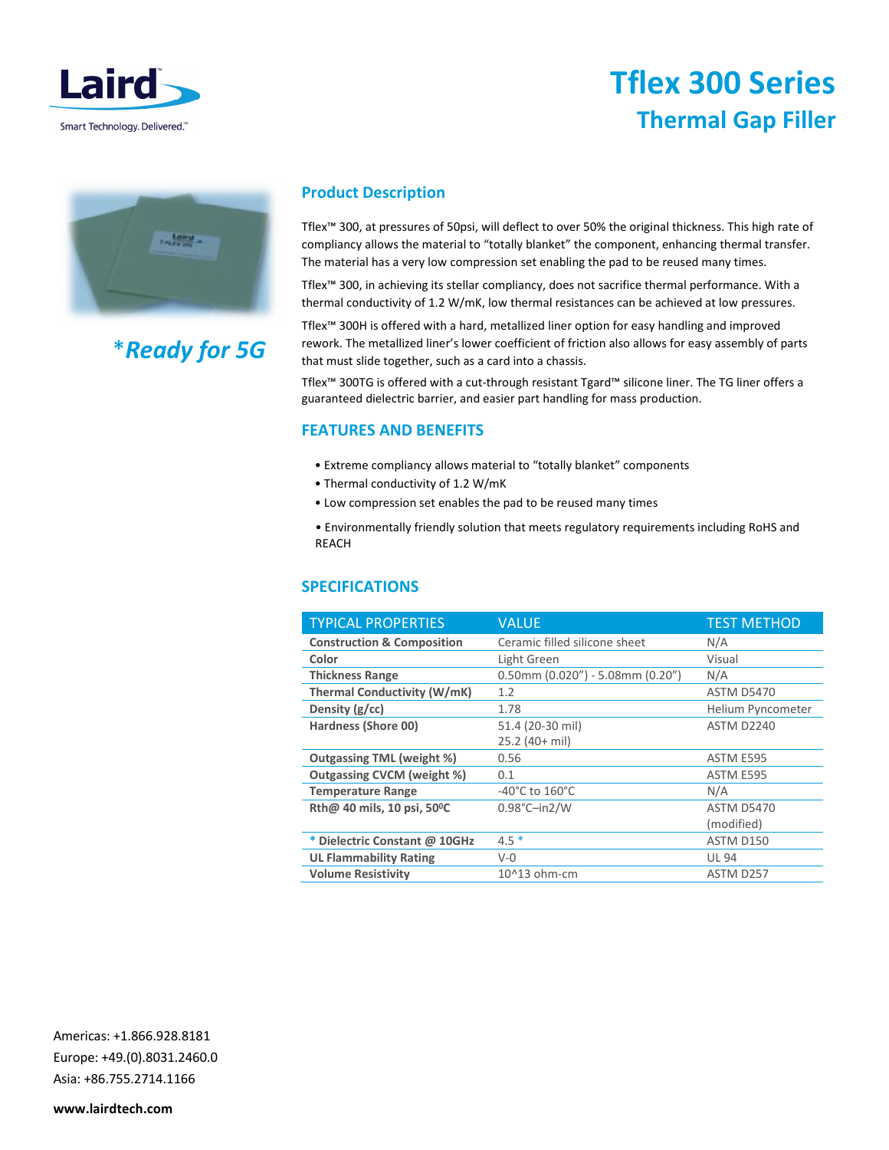

# Tflex 300 Series Thermal Gap Filler



# \*Ready for 5G

## Product Description

Tflex™ 300, at pressures of 50psi, will deflect to over 50% the original thickness. This high rate of compliancy allows the material to "totally blanket" the component, enhancing thermal transfer. The material has a very low compression set enabling the pad to be reused many times.

Tflex™ 300, in achieving its stellar compliancy, does not sacrifice thermal performance. With a thermal conductivity of 1.2 W/mK, low thermal resistances can be achieved at low pressures.

Tflex™ 300H is offered with a hard, metallized liner option for easy handling and improved rework. The metallized liner's lower coefficient of friction also allows for easy assembly of parts that must slide together, such as a card into a chassis.

Tflex™ 300TG is offered with a cut-through resistant Tgard™ silicone liner. The TG liner offers a guaranteed dielectric barrier, and easier part handling for mass production.

## FEATURES AND BENEFITS

- Extreme compliancy allows material to "totally blanket" components
- Thermal conductivity of 1.2 W/mK
- Low compression set enables the pad to be reused many times

• Environmentally friendly solution that meets regulatory requirements including RoHS and REACH

### SPECIFICATIONS

| <b>TYPICAL PROPERTIES</b>             | <b>VALUE</b>                               | <b>TEST METHOD</b> |
|---------------------------------------|--------------------------------------------|--------------------|
| <b>Construction &amp; Composition</b> | Ceramic filled silicone sheet              | N/A                |
| Color                                 | Light Green                                | Visual             |
| <b>Thickness Range</b>                | $0.50$ mm $(0.020'') - 5.08$ mm $(0.20'')$ | N/A                |
| <b>Thermal Conductivity (W/mK)</b>    | 1.2                                        | <b>ASTM D5470</b>  |
| Density $(g/cc)$                      | 1.78                                       | Helium Pyncometer  |
| Hardness (Shore 00)                   | 51.4 (20-30 mil)                           | <b>ASTM D2240</b>  |
|                                       | $25.2$ (40+ mil)                           |                    |
| <b>Outgassing TML (weight %)</b>      | 0.56                                       | ASTM E595          |
| <b>Outgassing CVCM (weight %)</b>     | 0.1                                        | ASTM E595          |
| <b>Temperature Range</b>              | $-40^{\circ}$ C to $160^{\circ}$ C         | N/A                |
| Rth@ 40 mils, 10 psi, 50°C            | $0.98^{\circ}$ C-in2/W                     | <b>ASTM D5470</b>  |
|                                       |                                            | (modified)         |
| * Dielectric Constant @ 10GHz         | $4.5*$                                     | ASTM D150          |
| <b>UL Flammability Rating</b>         | $V - 0$                                    | <b>UL 94</b>       |
| <b>Volume Resistivity</b>             | 10^13 ohm-cm                               | ASTM D257          |

Americas: +1.866.928.8181 Europe: +49.(0).8031.2460.0 Asia: +86.755.2714.1166

www.lairdtech.com